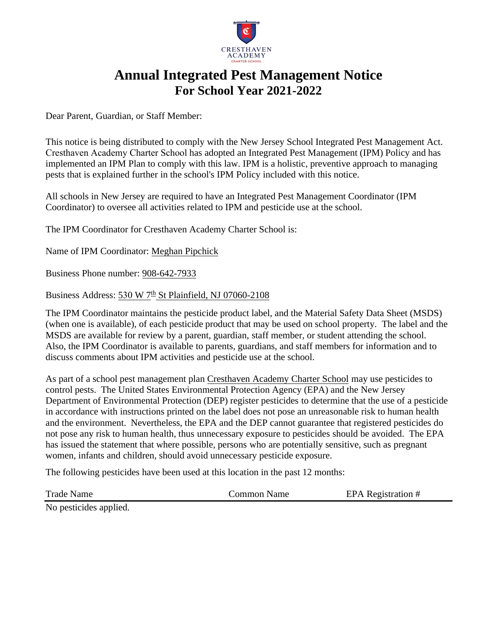

# **Annual Integrated Pest Management Notice For School Year 2021-2022**

Dear Parent, Guardian, or Staff Member:

This notice is being distributed to comply with the New Jersey School Integrated Pest Management Act. Cresthaven Academy Charter School has adopted an Integrated Pest Management (IPM) Policy and has implemented an IPM Plan to comply with this law. IPM is a holistic, preventive approach to managing pests that is explained further in the school's IPM Policy included with this notice.

All schools in New Jersey are required to have an Integrated Pest Management Coordinator (IPM Coordinator) to oversee all activities related to IPM and pesticide use at the school.

The IPM Coordinator for Cresthaven Academy Charter School is:

Name of IPM Coordinator: Meghan Pipchick

Business Phone number: 908-642-7933

Business Address: 530 W 7<sup>th</sup> St Plainfield, NJ 07060-2108

The IPM Coordinator maintains the pesticide product label, and the Material Safety Data Sheet (MSDS) (when one is available), of each pesticide product that may be used on school property. The label and the MSDS are available for review by a parent, guardian, staff member, or student attending the school. Also, the IPM Coordinator is available to parents, guardians, and staff members for information and to discuss comments about IPM activities and pesticide use at the school.

As part of a school pest management plan Cresthaven Academy Charter School may use pesticides to control pests. The United States Environmental Protection Agency (EPA) and the New Jersey Department of Environmental Protection (DEP) register pesticides to determine that the use of a pesticide in accordance with instructions printed on the label does not pose an unreasonable risk to human health and the environment. Nevertheless, the EPA and the DEP cannot guarantee that registered pesticides do not pose any risk to human health, thus unnecessary exposure to pesticides should be avoided. The EPA has issued the statement that where possible, persons who are potentially sensitive, such as pregnant women, infants and children, should avoid unnecessary pesticide exposure.

The following pesticides have been used at this location in the past 12 months:

Trade Name **Trade Name** Common Name EPA Registration #

No pesticides applied.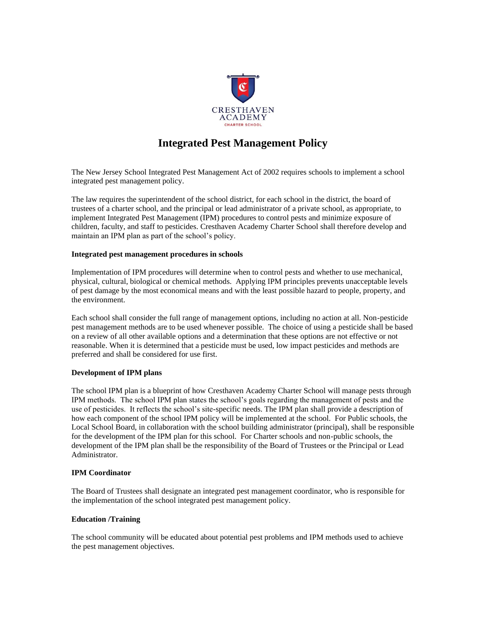

## **Integrated Pest Management Policy**

The New Jersey School Integrated Pest Management Act of 2002 requires schools to implement a school integrated pest management policy.

The law requires the superintendent of the school district, for each school in the district, the board of trustees of a charter school, and the principal or lead administrator of a private school, as appropriate, to implement Integrated Pest Management (IPM) procedures to control pests and minimize exposure of children, faculty, and staff to pesticides. Cresthaven Academy Charter School shall therefore develop and maintain an IPM plan as part of the school's policy.

#### **Integrated pest management procedures in schools**

Implementation of IPM procedures will determine when to control pests and whether to use mechanical, physical, cultural, biological or chemical methods. Applying IPM principles prevents unacceptable levels of pest damage by the most economical means and with the least possible hazard to people, property, and the environment.

Each school shall consider the full range of management options, including no action at all. Non-pesticide pest management methods are to be used whenever possible. The choice of using a pesticide shall be based on a review of all other available options and a determination that these options are not effective or not reasonable. When it is determined that a pesticide must be used, low impact pesticides and methods are preferred and shall be considered for use first.

### **Development of IPM plans**

The school IPM plan is a blueprint of how Cresthaven Academy Charter School will manage pests through IPM methods. The school IPM plan states the school's goals regarding the management of pests and the use of pesticides. It reflects the school's site-specific needs. The IPM plan shall provide a description of how each component of the school IPM policy will be implemented at the school. For Public schools, the Local School Board, in collaboration with the school building administrator (principal), shall be responsible for the development of the IPM plan for this school. For Charter schools and non-public schools, the development of the IPM plan shall be the responsibility of the Board of Trustees or the Principal or Lead Administrator.

#### **IPM Coordinator**

The Board of Trustees shall designate an integrated pest management coordinator, who is responsible for the implementation of the school integrated pest management policy.

#### **Education /Training**

The school community will be educated about potential pest problems and IPM methods used to achieve the pest management objectives.